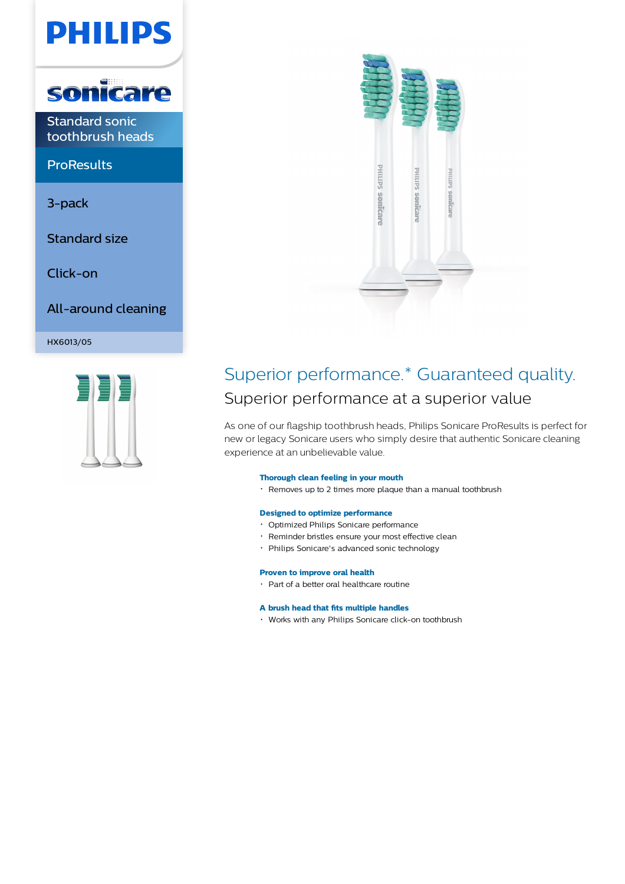# **PHILIPS**



Standard sonic toothbrush heads

**ProResults** 

3-pack

Standard size

Click-on

All-around cleaning

HX6013/05





### Superior performance.\* Guaranteed quality. Superior performance at a superior value

As one of our flagship toothbrush heads, Philips Sonicare ProResults is perfect for new or legacy Sonicare users who simply desire that authentic Sonicare cleaning experience at an unbelievable value.

### **Thorough clean feeling in your mouth**

Removes up to 2 times more plaque than a manual toothbrush

### **Designed to optimize performance**

- Optimized Philips Sonicare performance
- Reminder bristles ensure your most effective clean
- Philips Sonicare's advanced sonic technology

### **Proven to improve oral health**

Part of a better oral healthcare routine

### **A brush head that fits multiple handles**

Works with any Philips Sonicare click-on toothbrush